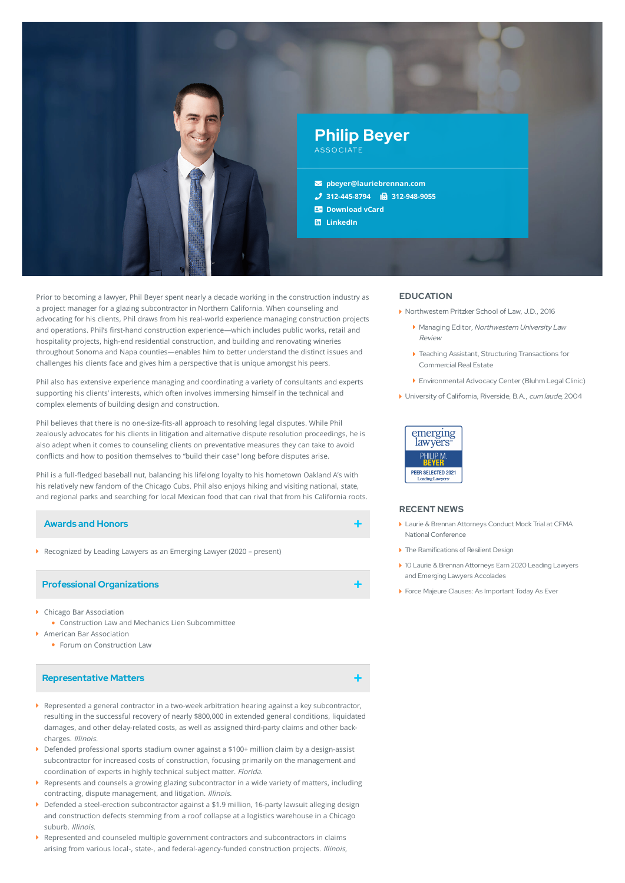

Prior to becoming a lawyer, Phil Beyer spent nearly a decade working in the construction industry as a project manager for a glazing subcontractor in Northern California. When counseling and advocating for his clients, Phil draws from his real-world experience managing construction projects and operations. Phil's first-hand construction experience—which includes public works, retail and hospitality projects, high-end residential construction, and building and renovating wineries throughout Sonoma and Napa counties—enables him to better understand the distinct issues and challenges his clients face and gives him a perspective that is unique amongst his peers.

Phil also has extensive experience managing and coordinating a variety of consultants and experts supporting his clients' interests, which often involves immersing himself in the technical and complex elements of building design and construction.

Phil believes that there is no one-size-fits-all approach to resolving legal disputes. While Phil zealously advocates for his clients in litigation and alternative dispute resolution proceedings, he is also adept when it comes to counseling clients on preventative measures they can take to avoid conflicts and how to position themselves to "build their case" long before disputes arise.

Phil is a full-fledged baseball nut, balancing his lifelong loyalty to his hometown Oakland A's with his relatively new fandom of the Chicago Cubs. Phil also enjoys hiking and visiting national, state, and regional parks and searching for local Mexican food that can rival that from his California roots.

# **Awards and Honors**

Recognized by Leading Lawyers as an Emerging Lawyer (2020 – present)

### **Professional Organizations**

- Chicago Bar Association
- Construction Law and Mechanics Lien Subcommittee
- American Bar Association
	- Forum on Construction Law

### **Representative Matters**

- Represented a general contractor in a two-week arbitration hearing against a key subcontractor, resulting in the successful recovery of nearly \$800,000 in extended general conditions, liquidated damages, and other delay-related costs, as well as assigned third-party claims and other backcharges. Illinois.
- ▶ Defended professional sports stadium owner against a \$100+ million claim by a design-assist subcontractor for increased costs of construction, focusing primarily on the management and coordination of experts in highly technical subject matter. Florida.
- Represents and counsels a growing glazing subcontractor in a wide variety of matters, including contracting, dispute management, and litigation. Illinois.
- Defended a steel-erection subcontractor against a \$1.9 million, 16-party lawsuit alleging design and construction defects stemming from a roof collapse at a logistics warehouse in a Chicago suburb. Illinois.
- Represented and counseled multiple government contractors and subcontractors in claims arising from various local-, state-, and federal-agency-funded construction projects. Illinois,

## **EDUCATION**

- ▶ Northwestern Pritzker School of Law, J.D., 2016
	- **Managing Editor, Northwestern University Law** Review
	- Teaching Assistant, Structuring Transactions for Commercial Real Estate
	- Environmental Advocacy Center (Bluhm Legal Clinic)
- University of California, Riverside, B.A., cum laude, 2004



### **RECENT NEWS**

- Laurie & Brennan Attorneys Conduct Mock Trial at CFMA National [Conference](https://www.lauriebrennan.com/blog/laurie-brennan-attorneys-conduct-mock-trial-at-cfma-national-conference/)
- ▶ The [Ramifications](https://www.lauriebrennan.com/blog/the-ramifications-of-resilient-design/) of Resilient Design
- 10 Laurie & Brennan Attorneys Earn 2020 Leading Lawyers and Emerging Lawyers [Accolades](https://www.lauriebrennan.com/blog/ten-laurie-brennan-attorneys-earn-2020-leading-lawyers-and-emerging-lawyers-accolades/)
- Force Majeure Clauses: As [Important](https://www.lauriebrennan.com/blog/force-majeure-clauses-as-important-today-as-ever/) Today As Ever